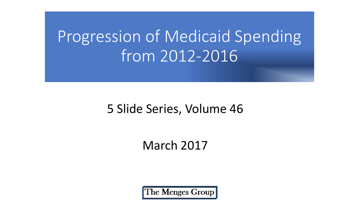# Progression of Medicaid Spending from 2012-2016

#### 5 Slide Series, Volume 46

#### March 2017

The Menges Group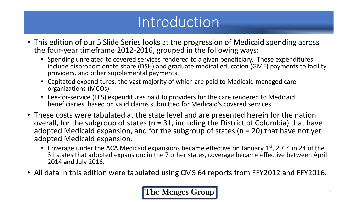### Introduction

- This edition of our 5 Slide Series looks at the progression of Medicaid spending across the four-year timeframe 2012-2016, grouped in the following ways:
	- Spending unrelated to covered services rendered to a given beneficiary. These expenditures include disproportionate share (DSH) and graduate medical education (GME) payments to facility providers, and other supplemental payments.
	- Capitated expenditures, the vast majority of which are paid to Medicaid managed care organizations (MCOs)
	- Fee-for-service (FFS) expenditures paid to providers for the care rendered to Medicaid beneficiaries, based on valid claims submitted for Medicaid's covered services
- These costs were tabulated at the state level and are presented herein for the nation overall, for the subgroup of states ( $n = 31$ , including the District of Columbia) that have adopted Medicaid expansion, and for the subgroup of states ( $n = 20$ ) that have not yet adopted Medicaid expansion.
	- Coverage under the ACA Medicaid expansions became effective on January  $1<sup>st</sup>$ , 2014 in 24 of the 31 states that adopted expansion; in the 7 other states, coverage became effective between April 2014 and July 2016.
- All data in this edition were tabulated using CMS 64 reports from FFY2012 and FFY2016.

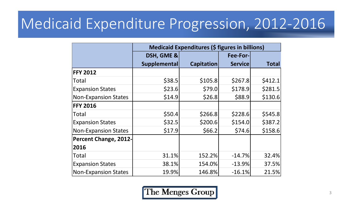### Medicaid Expenditure Progression, 2012-2016

|                              | <b>Medicaid Expenditures (\$ figures in billions)</b> |                   |                 |              |  |
|------------------------------|-------------------------------------------------------|-------------------|-----------------|--------------|--|
|                              | DSH, GME &                                            |                   | <b>Fee-For-</b> |              |  |
|                              | <b>Supplemental</b>                                   | <b>Capitation</b> | <b>Service</b>  | <b>Total</b> |  |
| <b>FFY 2012</b>              |                                                       |                   |                 |              |  |
| Total                        | \$38.5                                                | \$105.8           | \$267.8         | \$412.1      |  |
| <b>Expansion States</b>      | \$23.6                                                | \$79.0            | \$178.9         | \$281.5      |  |
| <b>Non-Expansion States</b>  | \$14.9                                                | \$26.8            | \$88.9          | \$130.6      |  |
| <b>FFY 2016</b>              |                                                       |                   |                 |              |  |
| <b>Total</b>                 | \$50.4                                                | \$266.8           | \$228.6         | \$545.8      |  |
| <b>Expansion States</b>      | \$32.5                                                | \$200.6           | \$154.0         | \$387.2      |  |
| <b>Non-Expansion States</b>  | \$17.9                                                | \$66.2            | \$74.6          | \$158.6      |  |
| <b>Percent Change, 2012-</b> |                                                       |                   |                 |              |  |
| 2016                         |                                                       |                   |                 |              |  |
| <b>Total</b>                 | 31.1%                                                 | 152.2%            | $-14.7%$        | 32.4%        |  |
| <b>Expansion States</b>      | 38.1%                                                 | 154.0%            | $-13.9%$        | 37.5%        |  |
| <b>Non-Expansion States</b>  | 19.9%                                                 | 146.8%            | $-16.1%$        | 21.5%        |  |

The Menges Group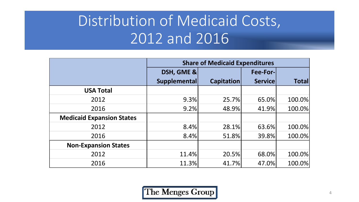## Distribution of Medicaid Costs, 2012 and 2016

|                                  | <b>Share of Medicaid Expenditures</b> |            |                |              |  |
|----------------------------------|---------------------------------------|------------|----------------|--------------|--|
|                                  | DSH, GME &                            |            | Fee-For-       |              |  |
|                                  | Supplemental                          | Capitation | <b>Service</b> | <b>Total</b> |  |
| <b>USA Total</b>                 |                                       |            |                |              |  |
| 2012                             | 9.3%                                  | 25.7%      | 65.0%          | 100.0%       |  |
| 2016                             | 9.2%                                  | 48.9%      | 41.9%          | 100.0%       |  |
| <b>Medicaid Expansion States</b> |                                       |            |                |              |  |
| 2012                             | 8.4%                                  | 28.1%      | 63.6%          | 100.0%       |  |
| 2016                             | 8.4%                                  | 51.8%      | 39.8%          | 100.0%       |  |
| <b>Non-Expansion States</b>      |                                       |            |                |              |  |
| 2012                             | 11.4%                                 | 20.5%      | 68.0%          | 100.0%       |  |
| 2016                             | 11.3%                                 | 41.7%      | 47.0%          | 100.0%       |  |

The Menges Group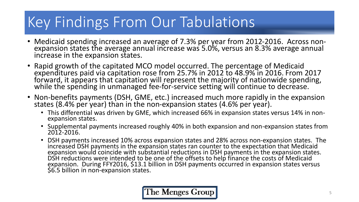# Key Findings From Our Tabulations

- Medicaid spending increased an average of 7.3% per year from 2012-2016. Across nonexpansion states the average annual increase was 5.0%, versus an 8.3% average annual increase in the expansion states.
- Rapid growth of the capitated MCO model occurred. The percentage of Medicaid expenditures paid via capitation rose from 25.7% in 2012 to 48.9% in 2016. From 2017 forward, it appears that capitation will represent the majority of nationwide spending, while the spending in unmanaged fee-for-service setting will continue to decrease.
- Non-benefits payments (DSH, GME, etc.) increased much more rapidly in the expansion states (8.4% per year) than in the non-expansion states (4.6% per year).
	- This differential was driven by GME, which increased 66% in expansion states versus 14% in nonexpansion states.
	- Supplemental payments increased roughly 40% in both expansion and non-expansion states from 2012-2016.
	- DSH payments increased 10% across expansion states and 28% across non-expansion states. The increased DSH payments in the expansion states ran counter to the expectation that Medicaid expansion would coincide with substantial reductions in DSH payments in the expansion states. DSH reductions were intended to be one of the offsets to help finance the costs of Medicaid expansion. During FFY2016, \$13.1 billion in DSH payments occurred in expansion states versus \$6.5 billion in non-expansion states.